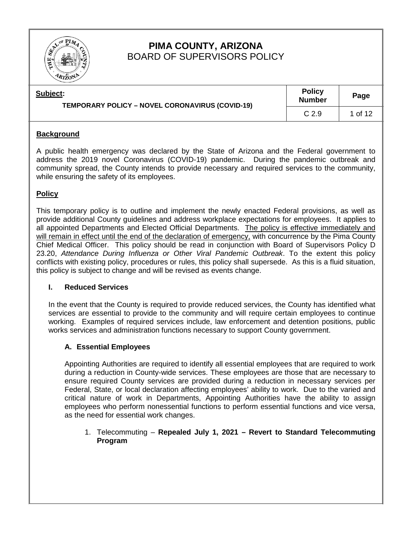

# **PIMA COUNTY, ARIZONA** BOARD OF SUPERVISORS POLICY

| Subject:<br><b>TEMPORARY POLICY - NOVEL CORONAVIRUS (COVID-19)</b> | <b>Policy</b><br><b>Number</b> | Page    |
|--------------------------------------------------------------------|--------------------------------|---------|
|                                                                    | C <sub>2.9</sub>               | 1 of 12 |

### **Background**

A public health emergency was declared by the State of Arizona and the Federal government to address the 2019 novel Coronavirus (COVID-19) pandemic. During the pandemic outbreak and community spread, the County intends to provide necessary and required services to the community, while ensuring the safety of its employees.

### **Policy**

This temporary policy is to outline and implement the newly enacted Federal provisions, as well as provide additional County guidelines and address workplace expectations for employees. It applies to all appointed Departments and Elected Official Departments. The policy is effective immediately and will remain in effect until the end of the declaration of emergency, with concurrence by the Pima County Chief Medical Officer. This policy should be read in conjunction with Board of Supervisors Policy D 23.20, *Attendance During Influenza or Other Viral Pandemic Outbreak*. To the extent this policy conflicts with existing policy, procedures or rules, this policy shall supersede. As this is a fluid situation, this policy is subject to change and will be revised as events change.

### **I. Reduced Services**

In the event that the County is required to provide reduced services, the County has identified what services are essential to provide to the community and will require certain employees to continue working. Examples of required services include, law enforcement and detention positions, public works services and administration functions necessary to support County government.

### **A. Essential Employees**

Appointing Authorities are required to identify all essential employees that are required to work during a reduction in County-wide services. These employees are those that are necessary to ensure required County services are provided during a reduction in necessary services per Federal, State, or local declaration affecting employees' ability to work. Due to the varied and critical nature of work in Departments, Appointing Authorities have the ability to assign employees who perform nonessential functions to perform essential functions and vice versa, as the need for essential work changes.

1. Telecommuting – **Repealed July 1, 2021 – Revert to Standard Telecommuting Program**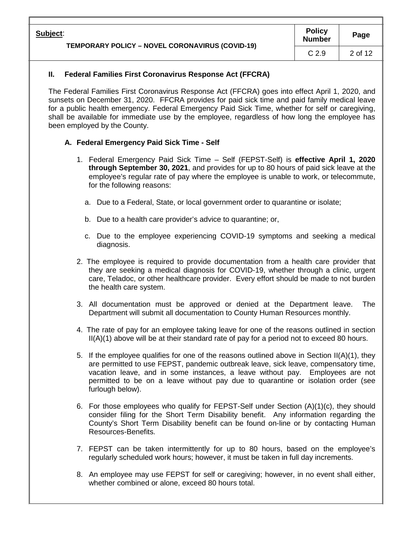|                                                        | <b>Policy</b>    |         |
|--------------------------------------------------------|------------------|---------|
| Subject:                                               | <b>Number</b>    | Page    |
| <b>TEMPORARY POLICY - NOVEL CORONAVIRUS (COVID-19)</b> | C <sub>2.9</sub> | 2 of 12 |

### **II. Federal Families First Coronavirus Response Act (FFCRA)**

The Federal Families First Coronavirus Response Act (FFCRA) goes into effect April 1, 2020, and sunsets on December 31, 2020. FFCRA provides for paid sick time and paid family medical leave for a public health emergency. Federal Emergency Paid Sick Time, whether for self or caregiving, shall be available for immediate use by the employee, regardless of how long the employee has been employed by the County.

### **A. Federal Emergency Paid Sick Time - Self**

- 1. Federal Emergency Paid Sick Time Self (FEPST-Self) is **effective April 1, 2020 through September 30, 2021**, and provides for up to 80 hours of paid sick leave at the employee's regular rate of pay where the employee is unable to work, or telecommute, for the following reasons:
	- a. Due to a Federal, State, or local government order to quarantine or isolate;
	- b. Due to a health care provider's advice to quarantine; or,
	- c. Due to the employee experiencing COVID-19 symptoms and seeking a medical diagnosis.
- 2. The employee is required to provide documentation from a health care provider that they are seeking a medical diagnosis for COVID-19, whether through a clinic, urgent care, Teladoc, or other healthcare provider. Every effort should be made to not burden the health care system.
- 3. All documentation must be approved or denied at the Department leave. The Department will submit all documentation to County Human Resources monthly.
- 4. The rate of pay for an employee taking leave for one of the reasons outlined in section II(A)(1) above will be at their standard rate of pay for a period not to exceed 80 hours.
- 5. If the employee qualifies for one of the reasons outlined above in Section II(A)(1), they are permitted to use FEPST, pandemic outbreak leave, sick leave, compensatory time, vacation leave, and in some instances, a leave without pay. Employees are not permitted to be on a leave without pay due to quarantine or isolation order (see furlough below).
- 6. For those employees who qualify for FEPST-Self under Section (A)(1)(c), they should consider filing for the Short Term Disability benefit. Any information regarding the County's Short Term Disability benefit can be found on-line or by contacting Human Resources-Benefits.
- 7. FEPST can be taken intermittently for up to 80 hours, based on the employee's regularly scheduled work hours; however, it must be taken in full day increments.
- 8. An employee may use FEPST for self or caregiving; however, in no event shall either, whether combined or alone, exceed 80 hours total.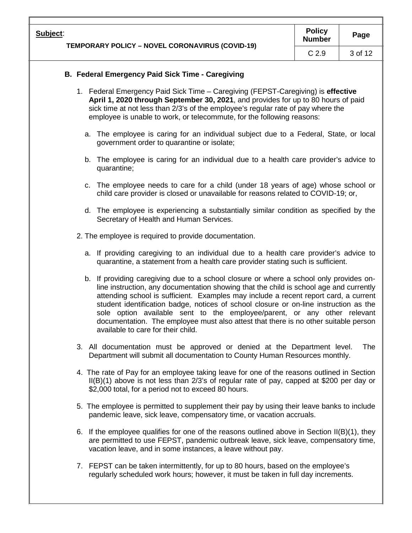| Subject:                                               | <b>Policy</b><br><b>Number</b> | Page    |
|--------------------------------------------------------|--------------------------------|---------|
| <b>TEMPORARY POLICY - NOVEL CORONAVIRUS (COVID-19)</b> | C <sub>2.9</sub>               | 3 of 12 |
| B. Federal Emergency Paid Sick Time - Caregiving       |                                |         |

## 1. Federal Emergency Paid Sick Time – Caregiving (FEPST-Caregiving) is **effective April 1, 2020 through September 30, 2021**, and provides for up to 80 hours of paid sick time at not less than 2/3's of the employee's regular rate of pay where the

employee is unable to work, or telecommute, for the following reasons:

- a. The employee is caring for an individual subject due to a Federal, State, or local government order to quarantine or isolate;
- b. The employee is caring for an individual due to a health care provider's advice to quarantine;
- c. The employee needs to care for a child (under 18 years of age) whose school or child care provider is closed or unavailable for reasons related to COVID-19; or,
- d. The employee is experiencing a substantially similar condition as specified by the Secretary of Health and Human Services.
- 2. The employee is required to provide documentation.
	- a. If providing caregiving to an individual due to a health care provider's advice to quarantine, a statement from a health care provider stating such is sufficient.
	- b. If providing caregiving due to a school closure or where a school only provides online instruction, any documentation showing that the child is school age and currently attending school is sufficient. Examples may include a recent report card, a current student identification badge, notices of school closure or on-line instruction as the sole option available sent to the employee/parent, or any other relevant documentation. The employee must also attest that there is no other suitable person available to care for their child.
- 3. All documentation must be approved or denied at the Department level. The Department will submit all documentation to County Human Resources monthly.
- 4. The rate of Pay for an employee taking leave for one of the reasons outlined in Section II(B)(1) above is not less than 2/3's of regular rate of pay, capped at \$200 per day or \$2,000 total, for a period not to exceed 80 hours.
- 5. The employee is permitted to supplement their pay by using their leave banks to include pandemic leave, sick leave, compensatory time, or vacation accruals.
- 6. If the employee qualifies for one of the reasons outlined above in Section II(B)(1), they are permitted to use FEPST, pandemic outbreak leave, sick leave, compensatory time, vacation leave, and in some instances, a leave without pay.
- 7. FEPST can be taken intermittently, for up to 80 hours, based on the employee's regularly scheduled work hours; however, it must be taken in full day increments.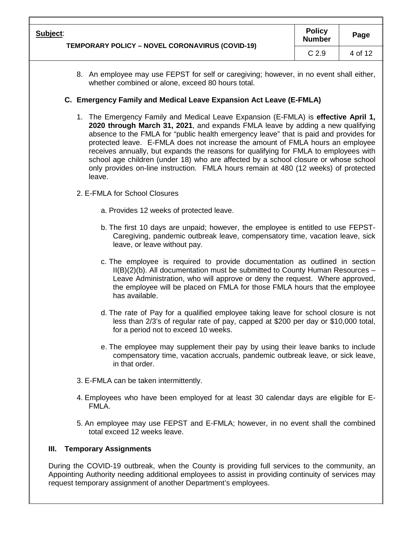| <u>Subject:</u><br>TEMPORARY POLICY - NOVEL CORONAVIRUS (COVID-19) | <b>Policy</b><br><b>Number</b> | Page    |
|--------------------------------------------------------------------|--------------------------------|---------|
|                                                                    | C <sub>2.9</sub>               | 4 of 12 |

8. An employee may use FEPST for self or caregiving; however, in no event shall either, whether combined or alone, exceed 80 hours total.

### **C. Emergency Family and Medical Leave Expansion Act Leave (E-FMLA)**

- 1. The Emergency Family and Medical Leave Expansion (E-FMLA) is **effective April 1, 2020 through March 31, 2021**, and expands FMLA leave by adding a new qualifying absence to the FMLA for "public health emergency leave" that is paid and provides for protected leave. E-FMLA does not increase the amount of FMLA hours an employee receives annually, but expands the reasons for qualifying for FMLA to employees with school age children (under 18) who are affected by a school closure or whose school only provides on-line instruction. FMLA hours remain at 480 (12 weeks) of protected leave.
- 2. E-FMLA for School Closures
	- a. Provides 12 weeks of protected leave.
	- b. The first 10 days are unpaid; however, the employee is entitled to use FEPST-Caregiving, pandemic outbreak leave, compensatory time, vacation leave, sick leave, or leave without pay.
	- c. The employee is required to provide documentation as outlined in section II(B)(2)(b). All documentation must be submitted to County Human Resources – Leave Administration, who will approve or deny the request. Where approved, the employee will be placed on FMLA for those FMLA hours that the employee has available.
	- d. The rate of Pay for a qualified employee taking leave for school closure is not less than 2/3's of regular rate of pay, capped at \$200 per day or \$10,000 total, for a period not to exceed 10 weeks.
	- e. The employee may supplement their pay by using their leave banks to include compensatory time, vacation accruals, pandemic outbreak leave, or sick leave, in that order.
- 3. E-FMLA can be taken intermittently.
- 4. Employees who have been employed for at least 30 calendar days are eligible for E-FMLA.
- 5. An employee may use FEPST and E-FMLA; however, in no event shall the combined total exceed 12 weeks leave.

### **III. Temporary Assignments**

During the COVID-19 outbreak, when the County is providing full services to the community, an Appointing Authority needing additional employees to assist in providing continuity of services may request temporary assignment of another Department's employees.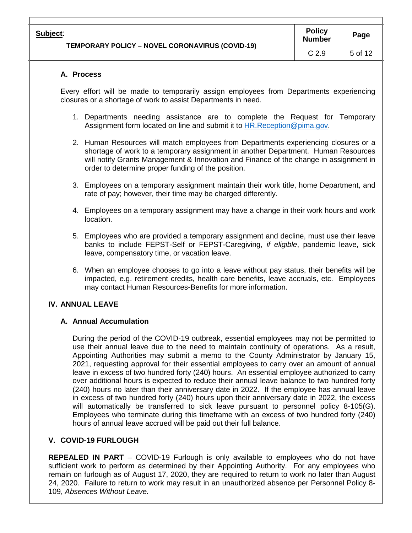| <u>Subject:</u>                                        | <b>Policy</b><br><b>Number</b> | Page    |
|--------------------------------------------------------|--------------------------------|---------|
| <b>TEMPORARY POLICY - NOVEL CORONAVIRUS (COVID-19)</b> | C <sub>2.9</sub>               | 5 of 12 |

### **A. Process**

Every effort will be made to temporarily assign employees from Departments experiencing closures or a shortage of work to assist Departments in need.

- 1. Departments needing assistance are to complete the Request for Temporary Assignment form located on line and submit it to HR. Reception@pima.gov.
- 2. Human Resources will match employees from Departments experiencing closures or a shortage of work to a temporary assignment in another Department. Human Resources will notify Grants Management & Innovation and Finance of the change in assignment in order to determine proper funding of the position.
- 3. Employees on a temporary assignment maintain their work title, home Department, and rate of pay; however, their time may be charged differently.
- 4. Employees on a temporary assignment may have a change in their work hours and work location.
- 5. Employees who are provided a temporary assignment and decline, must use their leave banks to include FEPST-Self or FEPST-Caregiving, *if eligible*, pandemic leave, sick leave, compensatory time, or vacation leave.
- 6. When an employee chooses to go into a leave without pay status, their benefits will be impacted, e.g. retirement credits, health care benefits, leave accruals, etc. Employees may contact Human Resources-Benefits for more information.

### **IV. ANNUAL LEAVE**

### **A. Annual Accumulation**

During the period of the COVID-19 outbreak, essential employees may not be permitted to use their annual leave due to the need to maintain continuity of operations. As a result, Appointing Authorities may submit a memo to the County Administrator by January 15, 2021, requesting approval for their essential employees to carry over an amount of annual leave in excess of two hundred forty (240) hours. An essential employee authorized to carry over additional hours is expected to reduce their annual leave balance to two hundred forty (240) hours no later than their anniversary date in 2022. If the employee has annual leave in excess of two hundred forty (240) hours upon their anniversary date in 2022, the excess will automatically be transferred to sick leave pursuant to personnel policy 8-105(G). Employees who terminate during this timeframe with an excess of two hundred forty (240) hours of annual leave accrued will be paid out their full balance.

### **V. COVID-19 FURLOUGH**

**REPEALED IN PART** – COVID-19 Furlough is only available to employees who do not have sufficient work to perform as determined by their Appointing Authority. For any employees who remain on furlough as of August 17, 2020, they are required to return to work no later than August 24, 2020. Failure to return to work may result in an unauthorized absence per Personnel Policy 8- 109, *Absences Without Leave.*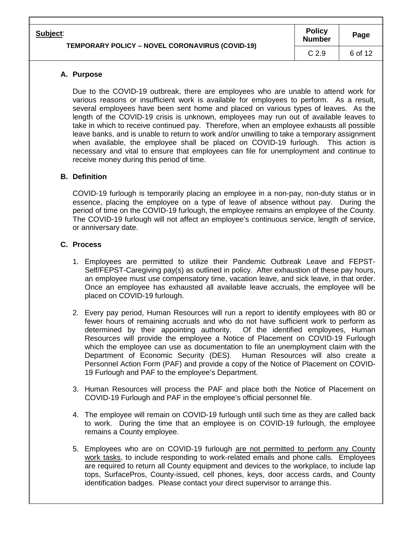| Subject:                                        | <b>Policy</b><br><b>Number</b> | Page    |
|-------------------------------------------------|--------------------------------|---------|
| TEMPORARY POLICY - NOVEL CORONAVIRUS (COVID-19) | C <sub>2.9</sub>               | 6 of 12 |

### **A. Purpose**

Due to the COVID-19 outbreak, there are employees who are unable to attend work for various reasons or insufficient work is available for employees to perform. As a result, several employees have been sent home and placed on various types of leaves. As the length of the COVID-19 crisis is unknown, employees may run out of available leaves to take in which to receive continued pay. Therefore, when an employee exhausts all possible leave banks, and is unable to return to work and/or unwilling to take a temporary assignment when available, the employee shall be placed on COVID-19 furlough. This action is necessary and vital to ensure that employees can file for unemployment and continue to receive money during this period of time.

### **B. Definition**

COVID-19 furlough is temporarily placing an employee in a non-pay, non-duty status or in essence, placing the employee on a type of leave of absence without pay. During the period of time on the COVID-19 furlough, the employee remains an employee of the County. The COVID-19 furlough will not affect an employee's continuous service, length of service, or anniversary date.

### **C. Process**

- 1. Employees are permitted to utilize their Pandemic Outbreak Leave and FEPST-Self/FEPST-Caregiving pay(s) as outlined in policy. After exhaustion of these pay hours, an employee must use compensatory time, vacation leave, and sick leave, in that order. Once an employee has exhausted all available leave accruals, the employee will be placed on COVID-19 furlough.
- 2. Every pay period, Human Resources will run a report to identify employees with 80 or fewer hours of remaining accruals and who do not have sufficient work to perform as determined by their appointing authority. Of the identified employees, Human determined by their appointing authority. Resources will provide the employee a Notice of Placement on COVID-19 Furlough which the employee can use as documentation to file an unemployment claim with the Department of Economic Security (DES). Human Resources will also create a Personnel Action Form (PAF) and provide a copy of the Notice of Placement on COVID-19 Furlough and PAF to the employee's Department.
- 3. Human Resources will process the PAF and place both the Notice of Placement on COVID-19 Furlough and PAF in the employee's official personnel file.
- 4. The employee will remain on COVID-19 furlough until such time as they are called back to work. During the time that an employee is on COVID-19 furlough, the employee remains a County employee.
- 5. Employees who are on COVID-19 furlough are not permitted to perform any County work tasks, to include responding to work-related emails and phone calls. Employees are required to return all County equipment and devices to the workplace, to include lap tops, SurfacePros, County-issued, cell phones, keys, door access cards, and County identification badges. Please contact your direct supervisor to arrange this.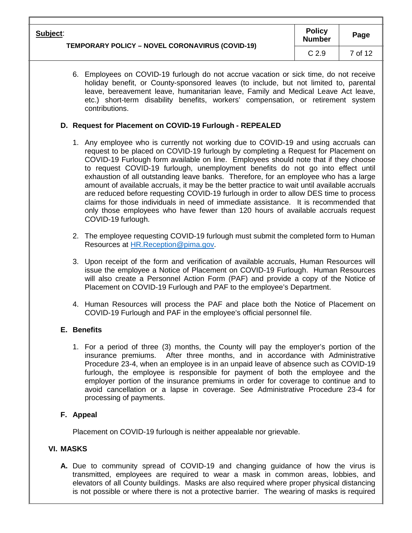| Subject:                                               | <b>Policy</b><br><b>Number</b> | Page    |
|--------------------------------------------------------|--------------------------------|---------|
| <b>TEMPORARY POLICY - NOVEL CORONAVIRUS (COVID-19)</b> | C <sub>2.9</sub>               | 7 of 12 |

6. Employees on COVID-19 furlough do not accrue vacation or sick time, do not receive holiday benefit, or County-sponsored leaves (to include, but not limited to, parental leave, bereavement leave, humanitarian leave, Family and Medical Leave Act leave, etc.) short-term disability benefits, workers' compensation, or retirement system contributions.

### **D. Request for Placement on COVID-19 Furlough - REPEALED**

- 1. Any employee who is currently not working due to COVID-19 and using accruals can request to be placed on COVID-19 furlough by completing a Request for Placement on COVID-19 Furlough form available on line. Employees should note that if they choose to request COVID-19 furlough, unemployment benefits do not go into effect until exhaustion of all outstanding leave banks. Therefore, for an employee who has a large amount of available accruals, it may be the better practice to wait until available accruals are reduced before requesting COVID-19 furlough in order to allow DES time to process claims for those individuals in need of immediate assistance. It is recommended that only those employees who have fewer than 120 hours of available accruals request COVID-19 furlough.
- 2. The employee requesting COVID-19 furlough must submit the completed form to Human Resources at [HR.Reception@pima.gov.](mailto:HR.Reception@pima.gov)
- 3. Upon receipt of the form and verification of available accruals, Human Resources will issue the employee a Notice of Placement on COVID-19 Furlough. Human Resources will also create a Personnel Action Form (PAF) and provide a copy of the Notice of Placement on COVID-19 Furlough and PAF to the employee's Department.
- 4. Human Resources will process the PAF and place both the Notice of Placement on COVID-19 Furlough and PAF in the employee's official personnel file.

### **E. Benefits**

1. For a period of three (3) months, the County will pay the employer's portion of the insurance premiums. After three months, and in accordance with Administrative Procedure 23-4, when an employee is in an unpaid leave of absence such as COVID-19 furlough, the employee is responsible for payment of both the employee and the employer portion of the insurance premiums in order for coverage to continue and to avoid cancellation or a lapse in coverage. See Administrative Procedure 23-4 for processing of payments.

### **F. Appeal**

Placement on COVID-19 furlough is neither appealable nor grievable.

### **VI. MASKS**

**A.** Due to community spread of COVID-19 and changing guidance of how the virus is transmitted, employees are required to wear a mask in common areas, lobbies, and elevators of all County buildings. Masks are also required where proper physical distancing is not possible or where there is not a protective barrier. The wearing of masks is required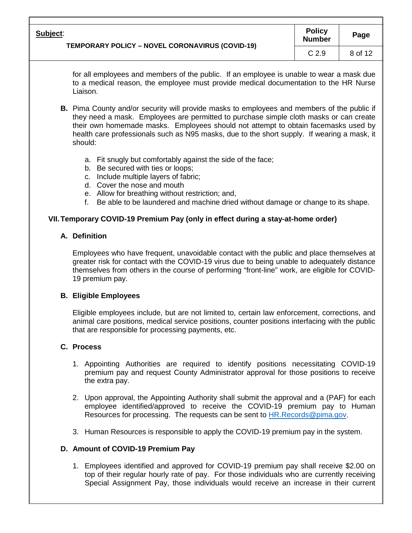| Subject:                                               | <b>Policy</b><br><b>Number</b> | Page    |
|--------------------------------------------------------|--------------------------------|---------|
| <b>TEMPORARY POLICY – NOVEL CORONAVIRUS (COVID-19)</b> | C <sub>2.9</sub>               | 8 of 12 |

for all employees and members of the public. If an employee is unable to wear a mask due to a medical reason, the employee must provide medical documentation to the HR Nurse Liaison.

- **B.** Pima County and/or security will provide masks to employees and members of the public if they need a mask. Employees are permitted to purchase simple cloth masks or can create their own homemade masks. Employees should not attempt to obtain facemasks used by health care professionals such as N95 masks, due to the short supply. If wearing a mask, it should:
	- a. Fit snugly but comfortably against the side of the face;
	- b. Be secured with ties or loops;
	- c. Include multiple layers of fabric;
	- d. Cover the nose and mouth
	- e. Allow for breathing without restriction; and,
	- f. Be able to be laundered and machine dried without damage or change to its shape.

#### **VII.Temporary COVID-19 Premium Pay (only in effect during a stay-at-home order)**

#### **A. Definition**

Employees who have frequent, unavoidable contact with the public and place themselves at greater risk for contact with the COVID-19 virus due to being unable to adequately distance themselves from others in the course of performing "front-line" work, are eligible for COVID-19 premium pay.

### **B. Eligible Employees**

Eligible employees include, but are not limited to, certain law enforcement, corrections, and animal care positions, medical service positions, counter positions interfacing with the public that are responsible for processing payments, etc.

#### **C. Process**

- 1. Appointing Authorities are required to identify positions necessitating COVID-19 premium pay and request County Administrator approval for those positions to receive the extra pay.
- 2. Upon approval, the Appointing Authority shall submit the approval and a (PAF) for each employee identified/approved to receive the COVID-19 premium pay to Human Resources for processing. The requests can be sent to HR. Records@pima.gov.
- 3. Human Resources is responsible to apply the COVID-19 premium pay in the system.

### **D. Amount of COVID-19 Premium Pay**

1. Employees identified and approved for COVID-19 premium pay shall receive \$2.00 on top of their regular hourly rate of pay. For those individuals who are currently receiving Special Assignment Pay, those individuals would receive an increase in their current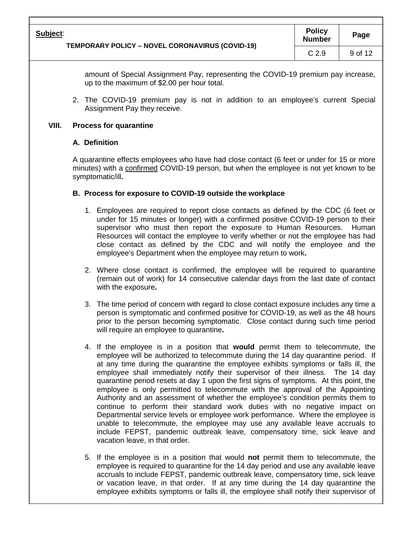| Subject:                                               | <b>Policy</b><br><b>Number</b> | Page    |
|--------------------------------------------------------|--------------------------------|---------|
| <b>TEMPORARY POLICY – NOVEL CORONAVIRUS (COVID-19)</b> | C <sub>2.9</sub>               | 9 of 12 |

amount of Special Assignment Pay, representing the COVID-19 premium pay increase, up to the maximum of \$2.00 per hour total.

2. The COVID-19 premium pay is not in addition to an employee's current Special Assignment Pay they receive.

#### **VIII. Process for quarantine**

#### **A. Definition**

A quarantine effects employees who have had close contact (6 feet or under for 15 or more minutes) with a confirmed COVID-19 person, but when the employee is not yet known to be symptomatic/ill**.** 

#### **B. Process for exposure to COVID-19 outside the workplace**

- 1. Employees are required to report close contacts as defined by the CDC (6 feet or under for 15 minutes or longer) with a confirmed positive COVID-19 person to their supervisor who must then report the exposure to Human Resources. Human Resources will contact the employee to verify whether or not the employee has had close contact as defined by the CDC and will notify the employee and the employee's Department when the employee may return to work**.**
- 2. Where close contact is confirmed, the employee will be required to quarantine (remain out of work) for 14 consecutive calendar days from the last date of contact with the exposure**.**
- 3. The time period of concern with regard to close contact exposure includes any time a person is symptomatic and confirmed positive for COVID-19, as well as the 48 hours prior to the person becoming symptomatic. Close contact during such time period will require an employee to quarantine**.**
- 4. If the employee is in a position that **would** permit them to telecommute, the employee will be authorized to telecommute during the 14 day quarantine period. If at any time during the quarantine the employee exhibits symptoms or falls ill, the employee shall immediately notify their supervisor of their illness. The 14 day quarantine period resets at day 1 upon the first signs of symptoms. At this point, the employee is only permitted to telecommute with the approval of the Appointing Authority and an assessment of whether the employee's condition permits them to continue to perform their standard work duties with no negative impact on Departmental service levels or employee work performance. Where the employee is unable to telecommute, the employee may use any available leave accruals to include FEPST, pandemic outbreak leave, compensatory time, sick leave and vacation leave, in that order.
- 5. If the employee is in a position that would **not** permit them to telecommute, the employee is required to quarantine for the 14 day period and use any available leave accruals to include FEPST, pandemic outbreak leave, compensatory time, sick leave or vacation leave, in that order. If at any time during the 14 day quarantine the employee exhibits symptoms or falls ill, the employee shall notify their supervisor of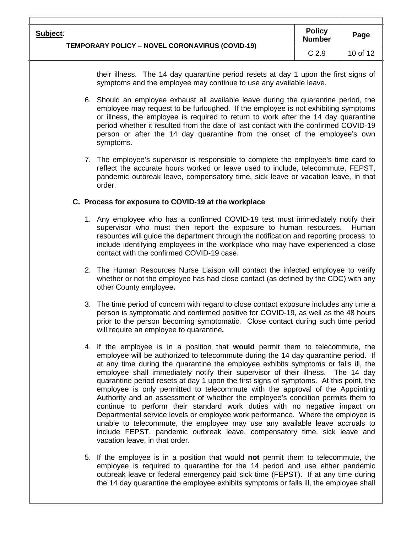| Subject:                                               | <b>Policy</b><br><b>Number</b> | Page     |
|--------------------------------------------------------|--------------------------------|----------|
| <b>TEMPORARY POLICY – NOVEL CORONAVIRUS (COVID-19)</b> | C <sub>2.9</sub>               | 10 of 12 |

their illness. The 14 day quarantine period resets at day 1 upon the first signs of symptoms and the employee may continue to use any available leave.

- 6. Should an employee exhaust all available leave during the quarantine period, the employee may request to be furloughed. If the employee is not exhibiting symptoms or illness, the employee is required to return to work after the 14 day quarantine period whether it resulted from the date of last contact with the confirmed COVID-19 person or after the 14 day quarantine from the onset of the employee's own symptoms.
- 7. The employee's supervisor is responsible to complete the employee's time card to reflect the accurate hours worked or leave used to include, telecommute, FEPST, pandemic outbreak leave, compensatory time, sick leave or vacation leave, in that order.

#### **C. Process for exposure to COVID-19 at the workplace**

- 1. Any employee who has a confirmed COVID-19 test must immediately notify their supervisor who must then report the exposure to human resources. Human resources will guide the department through the notification and reporting process, to include identifying employees in the workplace who may have experienced a close contact with the confirmed COVID-19 case.
- 2. The Human Resources Nurse Liaison will contact the infected employee to verify whether or not the employee has had close contact (as defined by the CDC) with any other County employee**.**
- 3. The time period of concern with regard to close contact exposure includes any time a person is symptomatic and confirmed positive for COVID-19, as well as the 48 hours prior to the person becoming symptomatic. Close contact during such time period will require an employee to quarantine**.**
- 4. If the employee is in a position that **would** permit them to telecommute, the employee will be authorized to telecommute during the 14 day quarantine period. If at any time during the quarantine the employee exhibits symptoms or falls ill, the employee shall immediately notify their supervisor of their illness. The 14 day quarantine period resets at day 1 upon the first signs of symptoms. At this point, the employee is only permitted to telecommute with the approval of the Appointing Authority and an assessment of whether the employee's condition permits them to continue to perform their standard work duties with no negative impact on Departmental service levels or employee work performance. Where the employee is unable to telecommute, the employee may use any available leave accruals to include FEPST, pandemic outbreak leave, compensatory time, sick leave and vacation leave, in that order.
- 5. If the employee is in a position that would **not** permit them to telecommute, the employee is required to quarantine for the 14 period and use either pandemic outbreak leave or federal emergency paid sick time (FEPST). If at any time during the 14 day quarantine the employee exhibits symptoms or falls ill, the employee shall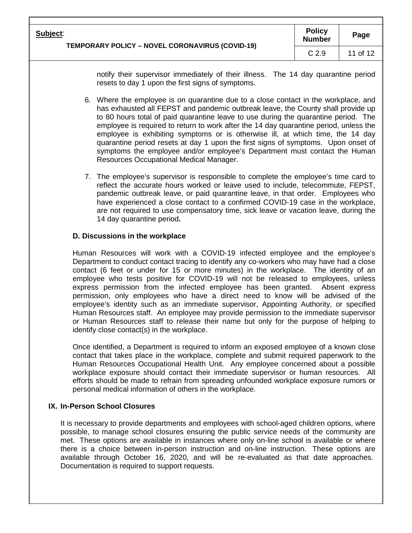| Subject:<br><b>TEMPORARY POLICY - NOVEL CORONAVIRUS (COVID-19)</b> | <b>Policy</b><br><b>Number</b> | Page     |
|--------------------------------------------------------------------|--------------------------------|----------|
|                                                                    | C <sub>2.9</sub>               | 11 of 12 |

notify their supervisor immediately of their illness. The 14 day quarantine period resets to day 1 upon the first signs of symptoms.

- 6. Where the employee is on quarantine due to a close contact in the workplace, and has exhausted all FEPST and pandemic outbreak leave, the County shall provide up to 80 hours total of paid quarantine leave to use during the quarantine period. The employee is required to return to work after the 14 day quarantine period, unless the employee is exhibiting symptoms or is otherwise ill, at which time, the 14 day quarantine period resets at day 1 upon the first signs of symptoms. Upon onset of symptoms the employee and/or employee's Department must contact the Human Resources Occupational Medical Manager.
- 7. The employee's supervisor is responsible to complete the employee's time card to reflect the accurate hours worked or leave used to include, telecommute, FEPST, pandemic outbreak leave, or paid quarantine leave, in that order. Employees who have experienced a close contact to a confirmed COVID-19 case in the workplace, are not required to use compensatory time, sick leave or vacation leave, during the 14 day quarantine period**.**

#### **D. Discussions in the workplace**

Human Resources will work with a COVID-19 infected employee and the employee's Department to conduct contact tracing to identify any co-workers who may have had a close contact (6 feet or under for 15 or more minutes) in the workplace. The identity of an employee who tests positive for COVID-19 will not be released to employees, unless express permission from the infected employee has been granted. Absent express permission, only employees who have a direct need to know will be advised of the employee's identity such as an immediate supervisor, Appointing Authority, or specified Human Resources staff. An employee may provide permission to the immediate supervisor or Human Resources staff to release their name but only for the purpose of helping to identify close contact(s) in the workplace.

Once identified, a Department is required to inform an exposed employee of a known close contact that takes place in the workplace, complete and submit required paperwork to the Human Resources Occupational Health Unit. Any employee concerned about a possible workplace exposure should contact their immediate supervisor or human resources. All efforts should be made to refrain from spreading unfounded workplace exposure rumors or personal medical information of others in the workplace.

### **IX. In-Person School Closures**

It is necessary to provide departments and employees with school-aged children options, where possible, to manage school closures ensuring the public service needs of the community are met. These options are available in instances where only on-line school is available or where there is a choice between in-person instruction and on-line instruction. These options are available through October 16, 2020, and will be re-evaluated as that date approaches. Documentation is required to support requests.